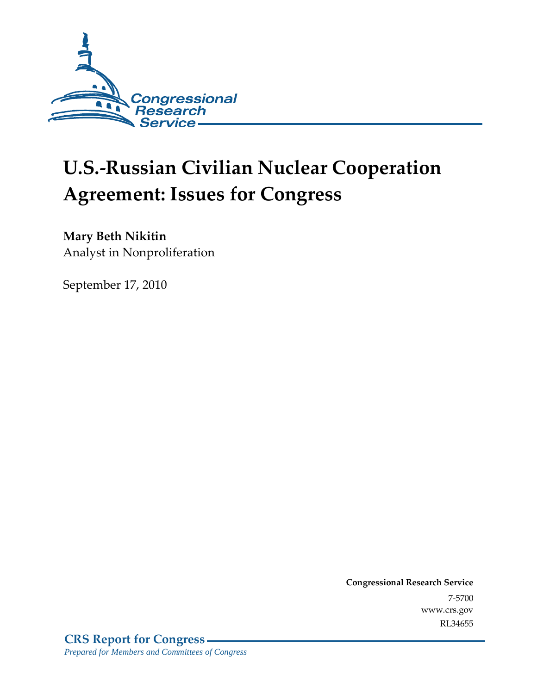

# **U.S.-Russian Civilian Nuclear Cooperation Agreement: Issues for Congress**

### **Mary Beth Nikitin**

Analyst in Nonproliferation

September 17, 2010

**Congressional Research Service** 7-5700 www.crs.gov RL34655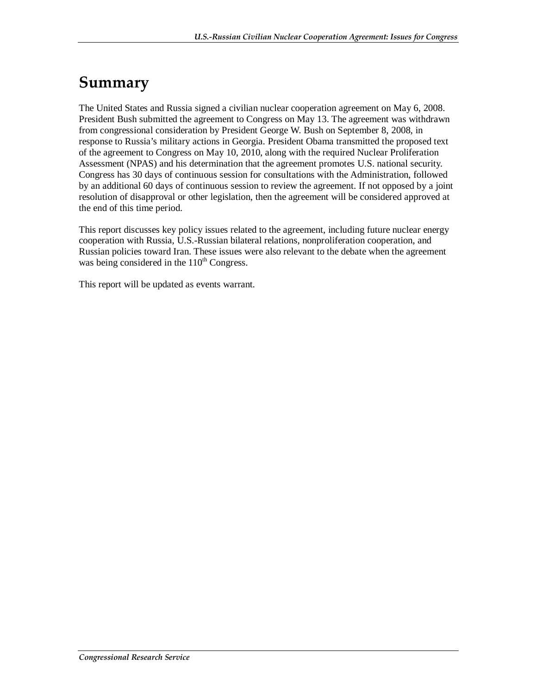## **Summary**

The United States and Russia signed a civilian nuclear cooperation agreement on May 6, 2008. President Bush submitted the agreement to Congress on May 13. The agreement was withdrawn from congressional consideration by President George W. Bush on September 8, 2008, in response to Russia's military actions in Georgia. President Obama transmitted the proposed text of the agreement to Congress on May 10, 2010, along with the required Nuclear Proliferation Assessment (NPAS) and his determination that the agreement promotes U.S. national security. Congress has 30 days of continuous session for consultations with the Administration, followed by an additional 60 days of continuous session to review the agreement. If not opposed by a joint resolution of disapproval or other legislation, then the agreement will be considered approved at the end of this time period.

This report discusses key policy issues related to the agreement, including future nuclear energy cooperation with Russia, U.S.-Russian bilateral relations, nonproliferation cooperation, and Russian policies toward Iran. These issues were also relevant to the debate when the agreement was being considered in the  $110<sup>th</sup>$  Congress.

This report will be updated as events warrant.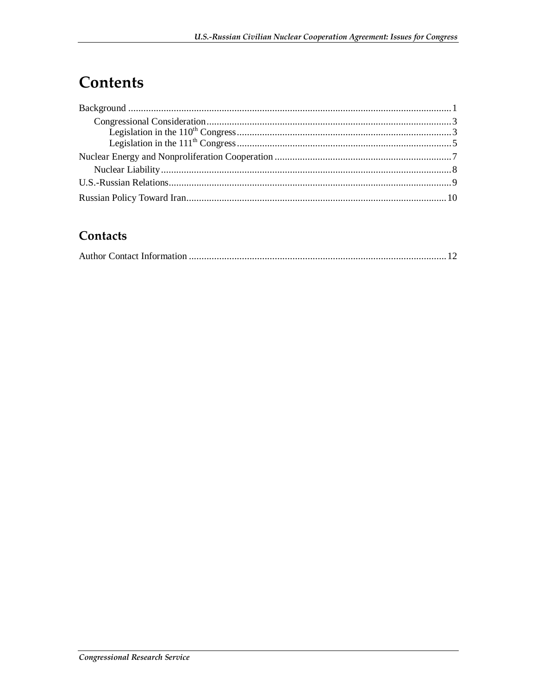## Contents

### Contacts

|--|--|--|--|--|--|--|--|--|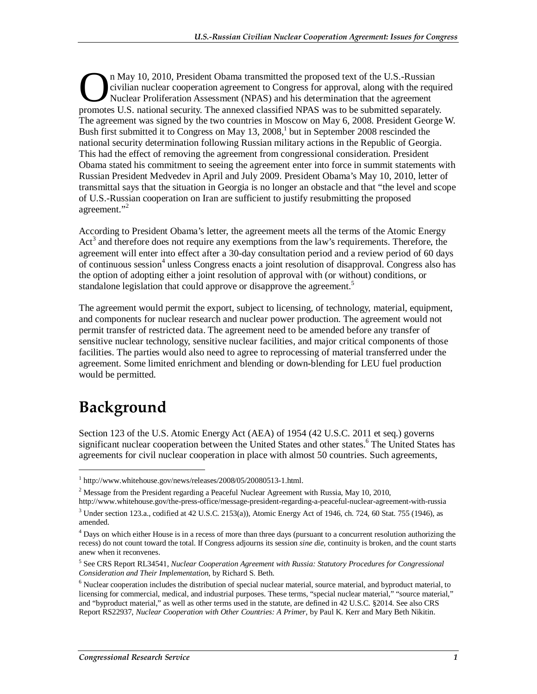n May 10, 2010, President Obama transmitted the proposed text of the U.S.-Russian civilian nuclear cooperation agreement to Congress for approval, along with the required Nuclear Proliferation Assessment (NPAS) and his determination that the agreement In May 10, 2010, President Obama transmitted the proposed text of the U.S.-Russian civilian nuclear cooperation agreement to Congress for approval, along with the requir Nuclear Proliferation Assessment (NPAS) and his dete The agreement was signed by the two countries in Moscow on May 6, 2008. President George W. Bush first submitted it to Congress on May 13, 2008,<sup>1</sup> but in September 2008 rescinded the national security determination following Russian military actions in the Republic of Georgia. This had the effect of removing the agreement from congressional consideration. President Obama stated his commitment to seeing the agreement enter into force in summit statements with Russian President Medvedev in April and July 2009. President Obama's May 10, 2010, letter of transmittal says that the situation in Georgia is no longer an obstacle and that "the level and scope of U.S.-Russian cooperation on Iran are sufficient to justify resubmitting the proposed agreement."<sup>2</sup>

According to President Obama's letter, the agreement meets all the terms of the Atomic Energy Act<sup>3</sup> and therefore does not require any exemptions from the law's requirements. Therefore, the agreement will enter into effect after a 30-day consultation period and a review period of 60 days of continuous session<sup>4</sup> unless Congress enacts a joint resolution of disapproval. Congress also has the option of adopting either a joint resolution of approval with (or without) conditions, or standalone legislation that could approve or disapprove the agreement.<sup>5</sup>

The agreement would permit the export, subject to licensing, of technology, material, equipment, and components for nuclear research and nuclear power production. The agreement would not permit transfer of restricted data. The agreement need to be amended before any transfer of sensitive nuclear technology, sensitive nuclear facilities, and major critical components of those facilities. The parties would also need to agree to reprocessing of material transferred under the agreement. Some limited enrichment and blending or down-blending for LEU fuel production would be permitted.

## **Background**

**.** 

Section 123 of the U.S. Atomic Energy Act (AEA) of 1954 (42 U.S.C. 2011 et seq.) governs significant nuclear cooperation between the United States and other states.<sup>6</sup> The United States has agreements for civil nuclear cooperation in place with almost 50 countries. Such agreements,

<sup>1</sup> http://www.whitehouse.gov/news/releases/2008/05/20080513-1.html.

<sup>&</sup>lt;sup>2</sup> Message from the President regarding a Peaceful Nuclear Agreement with Russia, May 10, 2010, http://www.whitehouse.gov/the-press-office/message-president-regarding-a-peaceful-nuclear-agreement-with-russia

 $3$  Under section 123.a., codified at 42 U.S.C. 2153(a)), Atomic Energy Act of 1946, ch. 724, 60 Stat. 755 (1946), as amended.

<sup>&</sup>lt;sup>4</sup> Days on which either House is in a recess of more than three days (pursuant to a concurrent resolution authorizing the recess) do not count toward the total. If Congress adjourns its session *sine die*, continuity is broken, and the count starts anew when it reconvenes.

<sup>5</sup> See CRS Report RL34541, *Nuclear Cooperation Agreement with Russia: Statutory Procedures for Congressional Consideration and Their Implementation*, by Richard S. Beth.

<sup>&</sup>lt;sup>6</sup> Nuclear cooperation includes the distribution of special nuclear material, source material, and byproduct material, to licensing for commercial, medical, and industrial purposes. These terms, "special nuclear material," "source material," and "byproduct material," as well as other terms used in the statute, are defined in 42 U.S.C. §2014. See also CRS Report RS22937, *Nuclear Cooperation with Other Countries: A Primer*, by Paul K. Kerr and Mary Beth Nikitin.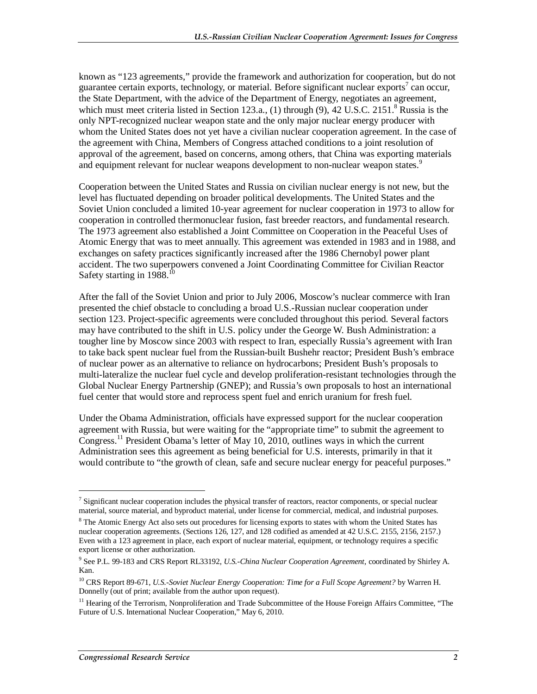known as "123 agreements," provide the framework and authorization for cooperation, but do not guarantee certain exports, technology, or material. Before significant nuclear exports<sup>7</sup> can occur, the State Department, with the advice of the Department of Energy, negotiates an agreement, which must meet criteria listed in Section 123.a.,  $(1)$  through  $(9)$ ,  $42$  U.S.C. 2151.<sup>8</sup> Russia is the only NPT-recognized nuclear weapon state and the only major nuclear energy producer with whom the United States does not yet have a civilian nuclear cooperation agreement. In the case of the agreement with China, Members of Congress attached conditions to a joint resolution of approval of the agreement, based on concerns, among others, that China was exporting materials and equipment relevant for nuclear weapons development to non-nuclear weapon states.<sup>9</sup>

Cooperation between the United States and Russia on civilian nuclear energy is not new, but the level has fluctuated depending on broader political developments. The United States and the Soviet Union concluded a limited 10-year agreement for nuclear cooperation in 1973 to allow for cooperation in controlled thermonuclear fusion, fast breeder reactors, and fundamental research. The 1973 agreement also established a Joint Committee on Cooperation in the Peaceful Uses of Atomic Energy that was to meet annually. This agreement was extended in 1983 and in 1988, and exchanges on safety practices significantly increased after the 1986 Chernobyl power plant accident. The two superpowers convened a Joint Coordinating Committee for Civilian Reactor Safety starting in 1988.<sup>10</sup>

After the fall of the Soviet Union and prior to July 2006, Moscow's nuclear commerce with Iran presented the chief obstacle to concluding a broad U.S.-Russian nuclear cooperation under section 123. Project-specific agreements were concluded throughout this period. Several factors may have contributed to the shift in U.S. policy under the George W. Bush Administration: a tougher line by Moscow since 2003 with respect to Iran, especially Russia's agreement with Iran to take back spent nuclear fuel from the Russian-built Bushehr reactor; President Bush's embrace of nuclear power as an alternative to reliance on hydrocarbons; President Bush's proposals to multi-lateralize the nuclear fuel cycle and develop proliferation-resistant technologies through the Global Nuclear Energy Partnership (GNEP); and Russia's own proposals to host an international fuel center that would store and reprocess spent fuel and enrich uranium for fresh fuel.

Under the Obama Administration, officials have expressed support for the nuclear cooperation agreement with Russia, but were waiting for the "appropriate time" to submit the agreement to Congress.<sup>11</sup> President Obama's letter of May 10, 2010, outlines ways in which the current Administration sees this agreement as being beneficial for U.S. interests, primarily in that it would contribute to "the growth of clean, safe and secure nuclear energy for peaceful purposes."

 $7$  Significant nuclear cooperation includes the physical transfer of reactors, reactor components, or special nuclear material, source material, and byproduct material, under license for commercial, medical, and industrial purposes.

<sup>&</sup>lt;sup>8</sup> The Atomic Energy Act also sets out procedures for licensing exports to states with whom the United States has nuclear cooperation agreements. (Sections 126, 127, and 128 codified as amended at 42 U.S.C. 2155, 2156, 2157.) Even with a 123 agreement in place, each export of nuclear material, equipment, or technology requires a specific export license or other authorization.

<sup>9</sup> See P.L. 99-183 and CRS Report RL33192, *U.S.-China Nuclear Cooperation Agreement*, coordinated by Shirley A. Kan.

<sup>10</sup> CRS Report 89-671, *U.S.-Soviet Nuclear Energy Cooperation: Time for a Full Scope Agreement?* by Warren H. Donnelly (out of print; available from the author upon request).

 $11$  Hearing of the Terrorism, Nonproliferation and Trade Subcommittee of the House Foreign Affairs Committee, "The Future of U.S. International Nuclear Cooperation," May 6, 2010.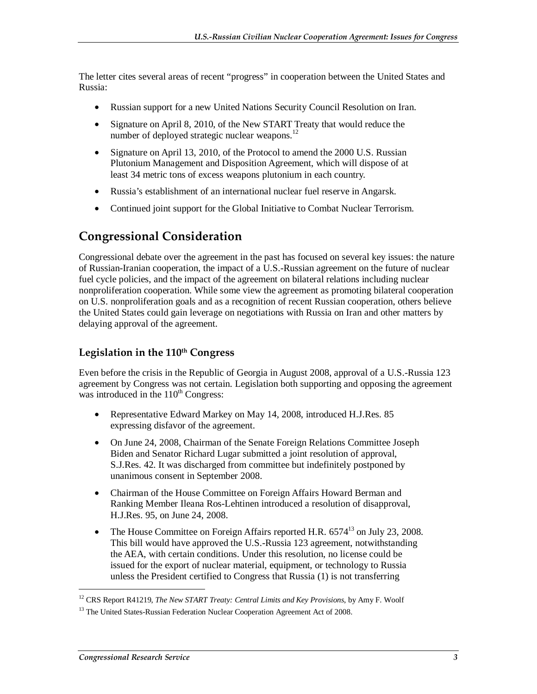The letter cites several areas of recent "progress" in cooperation between the United States and Russia:

- Russian support for a new United Nations Security Council Resolution on Iran.
- Signature on April 8, 2010, of the New START Treaty that would reduce the number of deployed strategic nuclear weapons.<sup>12</sup>
- Signature on April 13, 2010, of the Protocol to amend the 2000 U.S. Russian Plutonium Management and Disposition Agreement, which will dispose of at least 34 metric tons of excess weapons plutonium in each country.
- Russia's establishment of an international nuclear fuel reserve in Angarsk.
- Continued joint support for the Global Initiative to Combat Nuclear Terrorism.

#### **Congressional Consideration**

Congressional debate over the agreement in the past has focused on several key issues: the nature of Russian-Iranian cooperation, the impact of a U.S.-Russian agreement on the future of nuclear fuel cycle policies, and the impact of the agreement on bilateral relations including nuclear nonproliferation cooperation. While some view the agreement as promoting bilateral cooperation on U.S. nonproliferation goals and as a recognition of recent Russian cooperation, others believe the United States could gain leverage on negotiations with Russia on Iran and other matters by delaying approval of the agreement.

#### Legislation in the 110<sup>th</sup> Congress

Even before the crisis in the Republic of Georgia in August 2008, approval of a U.S.-Russia 123 agreement by Congress was not certain. Legislation both supporting and opposing the agreement was introduced in the  $110<sup>th</sup>$  Congress:

- Representative Edward Markey on May 14, 2008, introduced H.J.Res. 85 expressing disfavor of the agreement.
- On June 24, 2008, Chairman of the Senate Foreign Relations Committee Joseph Biden and Senator Richard Lugar submitted a joint resolution of approval, S.J.Res. 42. It was discharged from committee but indefinitely postponed by unanimous consent in September 2008.
- Chairman of the House Committee on Foreign Affairs Howard Berman and Ranking Member Ileana Ros-Lehtinen introduced a resolution of disapproval, H.J.Res. 95, on June 24, 2008.
- The House Committee on Foreign Affairs reported H.R.  $6574^{13}$  on July 23, 2008. This bill would have approved the U.S.-Russia 123 agreement, notwithstanding the AEA, with certain conditions. Under this resolution, no license could be issued for the export of nuclear material, equipment, or technology to Russia unless the President certified to Congress that Russia (1) is not transferring

<sup>12</sup> CRS Report R41219, *The New START Treaty: Central Limits and Key Provisions*, by Amy F. Woolf

<sup>&</sup>lt;sup>13</sup> The United States-Russian Federation Nuclear Cooperation Agreement Act of 2008.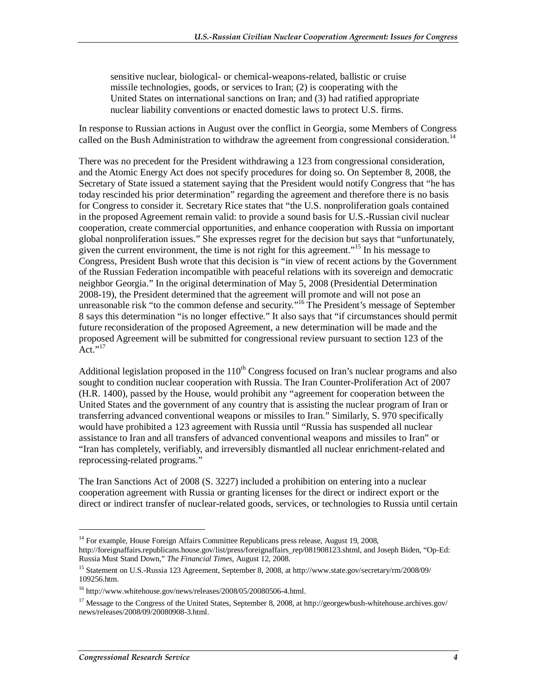sensitive nuclear, biological- or chemical-weapons-related, ballistic or cruise missile technologies, goods, or services to Iran; (2) is cooperating with the United States on international sanctions on Iran; and (3) had ratified appropriate nuclear liability conventions or enacted domestic laws to protect U.S. firms.

In response to Russian actions in August over the conflict in Georgia, some Members of Congress called on the Bush Administration to withdraw the agreement from congressional consideration.<sup>14</sup>

There was no precedent for the President withdrawing a 123 from congressional consideration, and the Atomic Energy Act does not specify procedures for doing so. On September 8, 2008, the Secretary of State issued a statement saying that the President would notify Congress that "he has today rescinded his prior determination" regarding the agreement and therefore there is no basis for Congress to consider it. Secretary Rice states that "the U.S. nonproliferation goals contained in the proposed Agreement remain valid: to provide a sound basis for U.S.-Russian civil nuclear cooperation, create commercial opportunities, and enhance cooperation with Russia on important global nonproliferation issues." She expresses regret for the decision but says that "unfortunately, given the current environment, the time is not right for this agreement."<sup>15</sup> In his message to Congress, President Bush wrote that this decision is "in view of recent actions by the Government of the Russian Federation incompatible with peaceful relations with its sovereign and democratic neighbor Georgia." In the original determination of May 5, 2008 (Presidential Determination 2008-19), the President determined that the agreement will promote and will not pose an unreasonable risk "to the common defense and security."<sup>16</sup> The President's message of September 8 says this determination "is no longer effective." It also says that "if circumstances should permit future reconsideration of the proposed Agreement, a new determination will be made and the proposed Agreement will be submitted for congressional review pursuant to section 123 of the  $\operatorname{Act}^{7,17}$ 

Additional legislation proposed in the  $110<sup>th</sup>$  Congress focused on Iran's nuclear programs and also sought to condition nuclear cooperation with Russia. The Iran Counter-Proliferation Act of 2007 (H.R. 1400), passed by the House, would prohibit any "agreement for cooperation between the United States and the government of any country that is assisting the nuclear program of Iran or transferring advanced conventional weapons or missiles to Iran." Similarly, S. 970 specifically would have prohibited a 123 agreement with Russia until "Russia has suspended all nuclear assistance to Iran and all transfers of advanced conventional weapons and missiles to Iran" or "Iran has completely, verifiably, and irreversibly dismantled all nuclear enrichment-related and reprocessing-related programs."

The Iran Sanctions Act of 2008 (S. 3227) included a prohibition on entering into a nuclear cooperation agreement with Russia or granting licenses for the direct or indirect export or the direct or indirect transfer of nuclear-related goods, services, or technologies to Russia until certain

**.** 

<sup>&</sup>lt;sup>14</sup> For example, House Foreign Affairs Committee Republicans press release, August 19, 2008,

http://foreignaffairs.republicans.house.gov/list/press/foreignaffairs\_rep/081908123.shtml, and Joseph Biden, "Op-Ed: Russia Must Stand Down," *The Financial Times*, August 12, 2008.

<sup>15</sup> Statement on U.S.-Russia 123 Agreement, September 8, 2008, at http://www.state.gov/secretary/rm/2008/09/ 109256.htm.

<sup>16</sup> http://www.whitehouse.gov/news/releases/2008/05/20080506-4.html.

<sup>&</sup>lt;sup>17</sup> Message to the Congress of the United States, September 8, 2008, at http://georgewbush-whitehouse.archives.gov/ news/releases/2008/09/20080908-3.html.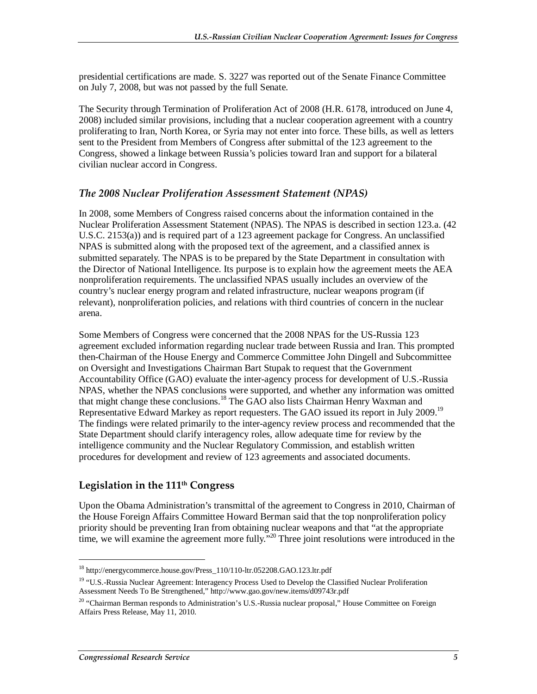presidential certifications are made. S. 3227 was reported out of the Senate Finance Committee on July 7, 2008, but was not passed by the full Senate.

The Security through Termination of Proliferation Act of 2008 (H.R. 6178, introduced on June 4, 2008) included similar provisions, including that a nuclear cooperation agreement with a country proliferating to Iran, North Korea, or Syria may not enter into force. These bills, as well as letters sent to the President from Members of Congress after submittal of the 123 agreement to the Congress, showed a linkage between Russia's policies toward Iran and support for a bilateral civilian nuclear accord in Congress.

#### *The 2008 Nuclear Proliferation Assessment Statement (NPAS)*

In 2008, some Members of Congress raised concerns about the information contained in the Nuclear Proliferation Assessment Statement (NPAS). The NPAS is described in section 123.a. (42 U.S.C. 2153(a)) and is required part of a 123 agreement package for Congress. An unclassified NPAS is submitted along with the proposed text of the agreement, and a classified annex is submitted separately. The NPAS is to be prepared by the State Department in consultation with the Director of National Intelligence. Its purpose is to explain how the agreement meets the AEA nonproliferation requirements. The unclassified NPAS usually includes an overview of the country's nuclear energy program and related infrastructure, nuclear weapons program (if relevant), nonproliferation policies, and relations with third countries of concern in the nuclear arena.

Some Members of Congress were concerned that the 2008 NPAS for the US-Russia 123 agreement excluded information regarding nuclear trade between Russia and Iran. This prompted then-Chairman of the House Energy and Commerce Committee John Dingell and Subcommittee on Oversight and Investigations Chairman Bart Stupak to request that the Government Accountability Office (GAO) evaluate the inter-agency process for development of U.S.-Russia NPAS, whether the NPAS conclusions were supported, and whether any information was omitted that might change these conclusions.<sup>18</sup> The GAO also lists Chairman Henry Waxman and Representative Edward Markey as report requesters. The GAO issued its report in July 2009.<sup>19</sup> The findings were related primarily to the inter-agency review process and recommended that the State Department should clarify interagency roles, allow adequate time for review by the intelligence community and the Nuclear Regulatory Commission, and establish written procedures for development and review of 123 agreements and associated documents.

#### **Legislation in the 111th Congress**

Upon the Obama Administration's transmittal of the agreement to Congress in 2010, Chairman of the House Foreign Affairs Committee Howard Berman said that the top nonproliferation policy priority should be preventing Iran from obtaining nuclear weapons and that "at the appropriate time, we will examine the agreement more fully."<sup>20</sup> Three joint resolutions were introduced in the

<sup>18</sup> http://energycommerce.house.gov/Press\_110/110-ltr.052208.GAO.123.ltr.pdf

<sup>&</sup>lt;sup>19</sup> "U.S.-Russia Nuclear Agreement: Interagency Process Used to Develop the Classified Nuclear Proliferation Assessment Needs To Be Strengthened," http://www.gao.gov/new.items/d09743r.pdf

<sup>&</sup>lt;sup>20</sup> "Chairman Berman responds to Administration's U.S.-Russia nuclear proposal," House Committee on Foreign Affairs Press Release, May 11, 2010.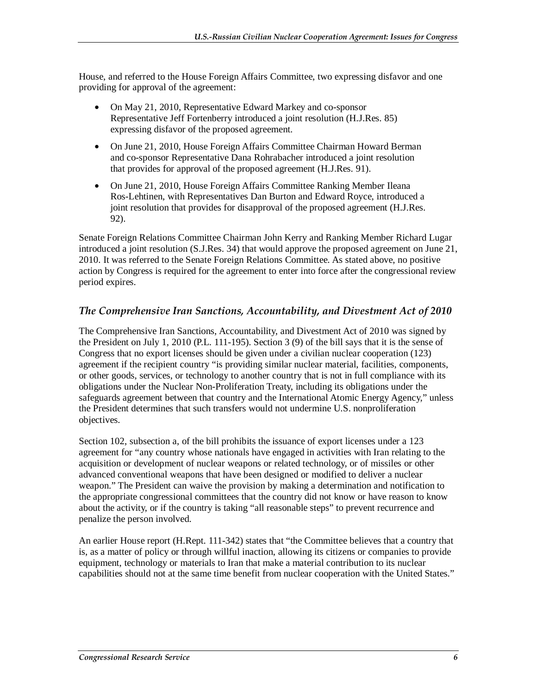House, and referred to the House Foreign Affairs Committee, two expressing disfavor and one providing for approval of the agreement:

- On May 21, 2010, Representative Edward Markey and co-sponsor Representative Jeff Fortenberry introduced a joint resolution (H.J.Res. 85) expressing disfavor of the proposed agreement.
- On June 21, 2010, House Foreign Affairs Committee Chairman Howard Berman and co-sponsor Representative Dana Rohrabacher introduced a joint resolution that provides for approval of the proposed agreement (H.J.Res. 91).
- On June 21, 2010, House Foreign Affairs Committee Ranking Member Ileana Ros-Lehtinen, with Representatives Dan Burton and Edward Royce, introduced a joint resolution that provides for disapproval of the proposed agreement (H.J.Res. 92).

Senate Foreign Relations Committee Chairman John Kerry and Ranking Member Richard Lugar introduced a joint resolution (S.J.Res. 34) that would approve the proposed agreement on June 21, 2010. It was referred to the Senate Foreign Relations Committee. As stated above, no positive action by Congress is required for the agreement to enter into force after the congressional review period expires.

#### *The Comprehensive Iran Sanctions, Accountability, and Divestment Act of 2010*

The Comprehensive Iran Sanctions, Accountability, and Divestment Act of 2010 was signed by the President on July 1, 2010 (P.L. 111-195). Section 3 (9) of the bill says that it is the sense of Congress that no export licenses should be given under a civilian nuclear cooperation (123) agreement if the recipient country "is providing similar nuclear material, facilities, components, or other goods, services, or technology to another country that is not in full compliance with its obligations under the Nuclear Non-Proliferation Treaty, including its obligations under the safeguards agreement between that country and the International Atomic Energy Agency," unless the President determines that such transfers would not undermine U.S. nonproliferation objectives.

Section 102, subsection a, of the bill prohibits the issuance of export licenses under a 123 agreement for "any country whose nationals have engaged in activities with Iran relating to the acquisition or development of nuclear weapons or related technology, or of missiles or other advanced conventional weapons that have been designed or modified to deliver a nuclear weapon." The President can waive the provision by making a determination and notification to the appropriate congressional committees that the country did not know or have reason to know about the activity, or if the country is taking "all reasonable steps" to prevent recurrence and penalize the person involved.

An earlier House report (H.Rept. 111-342) states that "the Committee believes that a country that is, as a matter of policy or through willful inaction, allowing its citizens or companies to provide equipment, technology or materials to Iran that make a material contribution to its nuclear capabilities should not at the same time benefit from nuclear cooperation with the United States."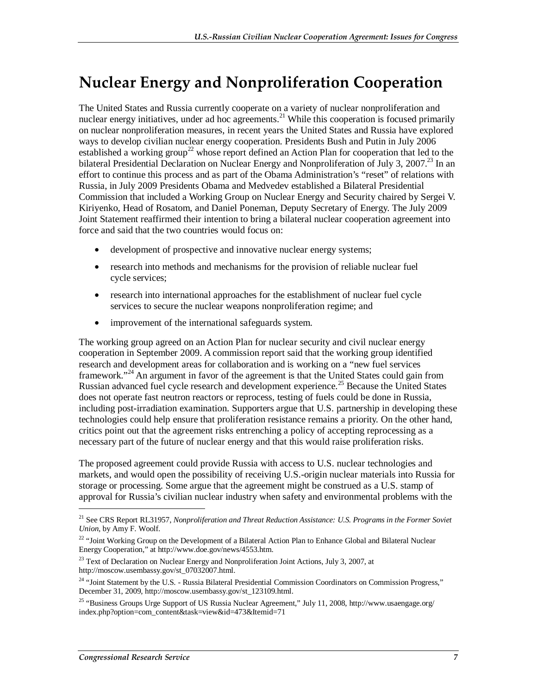### **Nuclear Energy and Nonproliferation Cooperation**

The United States and Russia currently cooperate on a variety of nuclear nonproliferation and nuclear energy initiatives, under ad hoc agreements.<sup>21</sup> While this cooperation is focused primarily on nuclear nonproliferation measures, in recent years the United States and Russia have explored ways to develop civilian nuclear energy cooperation. Presidents Bush and Putin in July 2006 established a working group<sup>22</sup> whose report defined an Action Plan for cooperation that led to the bilateral Presidential Declaration on Nuclear Energy and Nonproliferation of July 3, 2007.<sup>23</sup> In an effort to continue this process and as part of the Obama Administration's "reset" of relations with Russia, in July 2009 Presidents Obama and Medvedev established a Bilateral Presidential Commission that included a Working Group on Nuclear Energy and Security chaired by Sergei V. Kiriyenko, Head of Rosatom, and Daniel Poneman, Deputy Secretary of Energy. The July 2009 Joint Statement reaffirmed their intention to bring a bilateral nuclear cooperation agreement into force and said that the two countries would focus on:

- development of prospective and innovative nuclear energy systems;
- research into methods and mechanisms for the provision of reliable nuclear fuel cycle services;
- research into international approaches for the establishment of nuclear fuel cycle services to secure the nuclear weapons nonproliferation regime; and
- improvement of the international safeguards system.

The working group agreed on an Action Plan for nuclear security and civil nuclear energy cooperation in September 2009. A commission report said that the working group identified research and development areas for collaboration and is working on a "new fuel services framework."24 An argument in favor of the agreement is that the United States could gain from Russian advanced fuel cycle research and development experience.<sup>25</sup> Because the United States does not operate fast neutron reactors or reprocess, testing of fuels could be done in Russia, including post-irradiation examination. Supporters argue that U.S. partnership in developing these technologies could help ensure that proliferation resistance remains a priority. On the other hand, critics point out that the agreement risks entrenching a policy of accepting reprocessing as a necessary part of the future of nuclear energy and that this would raise proliferation risks.

The proposed agreement could provide Russia with access to U.S. nuclear technologies and markets, and would open the possibility of receiving U.S.-origin nuclear materials into Russia for storage or processing. Some argue that the agreement might be construed as a U.S. stamp of approval for Russia's civilian nuclear industry when safety and environmental problems with the

<sup>23</sup> Text of Declaration on Nuclear Energy and Nonproliferation Joint Actions, July 3, 2007, at http://moscow.usembassy.gov/st\_07032007.html.

<sup>21</sup> See CRS Report RL31957, *Nonproliferation and Threat Reduction Assistance: U.S. Programs in the Former Soviet Union*, by Amy F. Woolf.

<sup>&</sup>lt;sup>22</sup> "Joint Working Group on the Development of a Bilateral Action Plan to Enhance Global and Bilateral Nuclear Energy Cooperation," at http://www.doe.gov/news/4553.htm.

<sup>&</sup>lt;sup>24</sup> "Joint Statement by the U.S. - Russia Bilateral Presidential Commission Coordinators on Commission Progress," December 31, 2009, http://moscow.usembassy.gov/st\_123109.html.

<sup>&</sup>lt;sup>25</sup> "Business Groups Urge Support of US Russia Nuclear Agreement," July 11, 2008, http://www.usaengage.org/ index.php?option=com\_content&task=view&id=473&Itemid=71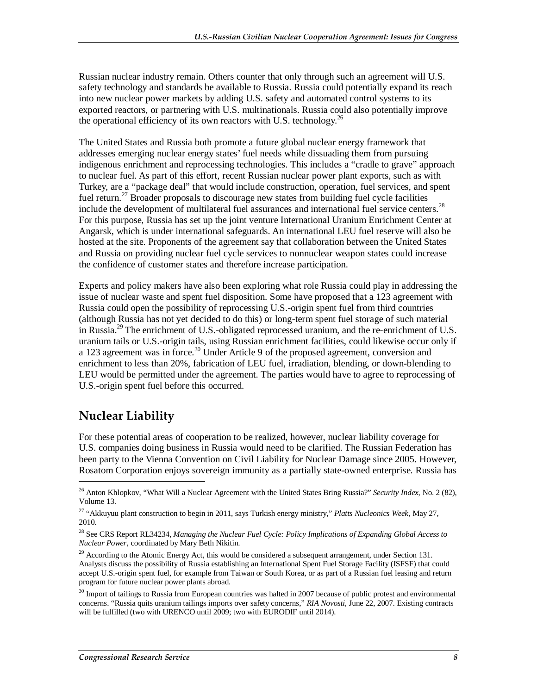Russian nuclear industry remain. Others counter that only through such an agreement will U.S. safety technology and standards be available to Russia. Russia could potentially expand its reach into new nuclear power markets by adding U.S. safety and automated control systems to its exported reactors, or partnering with U.S. multinationals. Russia could also potentially improve the operational efficiency of its own reactors with U.S. technology.<sup>26</sup>

The United States and Russia both promote a future global nuclear energy framework that addresses emerging nuclear energy states' fuel needs while dissuading them from pursuing indigenous enrichment and reprocessing technologies. This includes a "cradle to grave" approach to nuclear fuel. As part of this effort, recent Russian nuclear power plant exports, such as with Turkey, are a "package deal" that would include construction, operation, fuel services, and spent fuel return.<sup>27</sup> Broader proposals to discourage new states from building fuel cycle facilities include the development of multilateral fuel assurances and international fuel service centers.<sup>28</sup> For this purpose, Russia has set up the joint venture International Uranium Enrichment Center at Angarsk, which is under international safeguards. An international LEU fuel reserve will also be hosted at the site. Proponents of the agreement say that collaboration between the United States and Russia on providing nuclear fuel cycle services to nonnuclear weapon states could increase the confidence of customer states and therefore increase participation.

Experts and policy makers have also been exploring what role Russia could play in addressing the issue of nuclear waste and spent fuel disposition. Some have proposed that a 123 agreement with Russia could open the possibility of reprocessing U.S.-origin spent fuel from third countries (although Russia has not yet decided to do this) or long-term spent fuel storage of such material in Russia.<sup>29</sup> The enrichment of U.S.-obligated reprocessed uranium, and the re-enrichment of U.S. uranium tails or U.S.-origin tails, using Russian enrichment facilities, could likewise occur only if a 123 agreement was in force.<sup>30</sup> Under Article 9 of the proposed agreement, conversion and enrichment to less than 20%, fabrication of LEU fuel, irradiation, blending, or down-blending to LEU would be permitted under the agreement. The parties would have to agree to reprocessing of U.S.-origin spent fuel before this occurred.

### **Nuclear Liability**

**.** 

For these potential areas of cooperation to be realized, however, nuclear liability coverage for U.S. companies doing business in Russia would need to be clarified. The Russian Federation has been party to the Vienna Convention on Civil Liability for Nuclear Damage since 2005. However, Rosatom Corporation enjoys sovereign immunity as a partially state-owned enterprise. Russia has

<sup>26</sup> Anton Khlopkov, "What Will a Nuclear Agreement with the United States Bring Russia?" *Security Index*, No. 2 (82), Volume 13.

<sup>27 &</sup>quot;Akkuyuu plant construction to begin in 2011, says Turkish energy ministry," *Platts Nucleonics Week*, May 27, 2010.

<sup>28</sup> See CRS Report RL34234, *Managing the Nuclear Fuel Cycle: Policy Implications of Expanding Global Access to Nuclear Power*, coordinated by Mary Beth Nikitin.

<sup>&</sup>lt;sup>29</sup> According to the Atomic Energy Act, this would be considered a subsequent arrangement, under Section 131. Analysts discuss the possibility of Russia establishing an International Spent Fuel Storage Facility (ISFSF) that could accept U.S.-origin spent fuel, for example from Taiwan or South Korea, or as part of a Russian fuel leasing and return program for future nuclear power plants abroad.

 $30$  Import of tailings to Russia from European countries was halted in 2007 because of public protest and environmental concerns. "Russia quits uranium tailings imports over safety concerns," *RIA Novosti*, June 22, 2007. Existing contracts will be fulfilled (two with URENCO until 2009; two with EURODIF until 2014).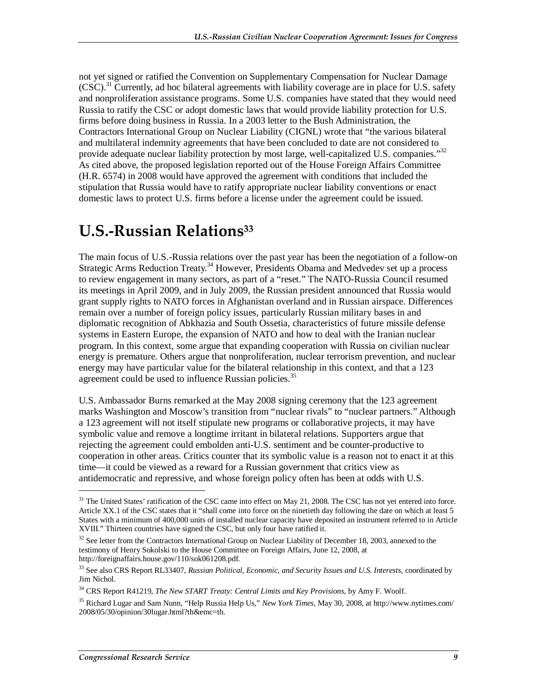not yet signed or ratified the Convention on Supplementary Compensation for Nuclear Damage  $(CSC)^{31}$  Currently, ad hoc bilateral agreements with liability coverage are in place for U.S. safety and nonproliferation assistance programs. Some U.S. companies have stated that they would need Russia to ratify the CSC or adopt domestic laws that would provide liability protection for U.S. firms before doing business in Russia. In a 2003 letter to the Bush Administration, the Contractors International Group on Nuclear Liability (CIGNL) wrote that "the various bilateral and multilateral indemnity agreements that have been concluded to date are not considered to provide adequate nuclear liability protection by most large, well-capitalized U.S. companies."<sup>32</sup> As cited above, the proposed legislation reported out of the House Foreign Affairs Committee (H.R. 6574) in 2008 would have approved the agreement with conditions that included the stipulation that Russia would have to ratify appropriate nuclear liability conventions or enact domestic laws to protect U.S. firms before a license under the agreement could be issued.

### **U.S.-Russian Relations33**

The main focus of U.S.-Russia relations over the past year has been the negotiation of a follow-on Strategic Arms Reduction Treaty.<sup>34</sup> However, Presidents Obama and Medvedev set up a process to review engagement in many sectors, as part of a "reset." The NATO-Russia Council resumed its meetings in April 2009, and in July 2009, the Russian president announced that Russia would grant supply rights to NATO forces in Afghanistan overland and in Russian airspace. Differences remain over a number of foreign policy issues, particularly Russian military bases in and diplomatic recognition of Abkhazia and South Ossetia, characteristics of future missile defense systems in Eastern Europe, the expansion of NATO and how to deal with the Iranian nuclear program. In this context, some argue that expanding cooperation with Russia on civilian nuclear energy is premature. Others argue that nonproliferation, nuclear terrorism prevention, and nuclear energy may have particular value for the bilateral relationship in this context, and that a 123 agreement could be used to influence Russian policies. $35$ 

U.S. Ambassador Burns remarked at the May 2008 signing ceremony that the 123 agreement marks Washington and Moscow's transition from "nuclear rivals" to "nuclear partners." Although a 123 agreement will not itself stipulate new programs or collaborative projects, it may have symbolic value and remove a longtime irritant in bilateral relations. Supporters argue that rejecting the agreement could embolden anti-U.S. sentiment and be counter-productive to cooperation in other areas. Critics counter that its symbolic value is a reason not to enact it at this time—it could be viewed as a reward for a Russian government that critics view as antidemocratic and repressive, and whose foreign policy often has been at odds with U.S.

<sup>&</sup>lt;sup>31</sup> The United States' ratification of the CSC came into effect on May 21, 2008. The CSC has not yet entered into force. Article XX.1 of the CSC states that it "shall come into force on the ninetieth day following the date on which at least 5 States with a minimum of 400,000 units of installed nuclear capacity have deposited an instrument referred to in Article XVIII." Thirteen countries have signed the CSC, but only four have ratified it.

<sup>&</sup>lt;sup>32</sup> See letter from the Contractors International Group on Nuclear Liability of December 18, 2003, annexed to the testimony of Henry Sokolski to the House Committee on Foreign Affairs, June 12, 2008, at http://foreignaffairs.house.gov/110/sok061208.pdf.

<sup>33</sup> See also CRS Report RL33407, *Russian Political, Economic, and Security Issues and U.S. Interests*, coordinated by Jim Nichol.

<sup>34</sup> CRS Report R41219, *The New START Treaty: Central Limits and Key Provisions*, by Amy F. Woolf.

<sup>35</sup> Richard Lugar and Sam Nunn, "Help Russia Help Us," *New York Times*, May 30, 2008, at http://www.nytimes.com/ 2008/05/30/opinion/30lugar.html?th&emc=th.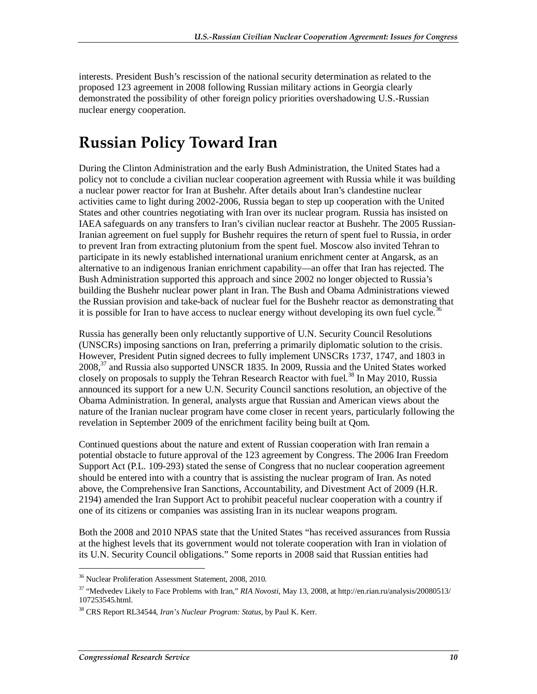interests. President Bush's rescission of the national security determination as related to the proposed 123 agreement in 2008 following Russian military actions in Georgia clearly demonstrated the possibility of other foreign policy priorities overshadowing U.S.-Russian nuclear energy cooperation.

## **Russian Policy Toward Iran**

During the Clinton Administration and the early Bush Administration, the United States had a policy not to conclude a civilian nuclear cooperation agreement with Russia while it was building a nuclear power reactor for Iran at Bushehr. After details about Iran's clandestine nuclear activities came to light during 2002-2006, Russia began to step up cooperation with the United States and other countries negotiating with Iran over its nuclear program. Russia has insisted on IAEA safeguards on any transfers to Iran's civilian nuclear reactor at Bushehr. The 2005 Russian-Iranian agreement on fuel supply for Bushehr requires the return of spent fuel to Russia, in order to prevent Iran from extracting plutonium from the spent fuel. Moscow also invited Tehran to participate in its newly established international uranium enrichment center at Angarsk, as an alternative to an indigenous Iranian enrichment capability—an offer that Iran has rejected. The Bush Administration supported this approach and since 2002 no longer objected to Russia's building the Bushehr nuclear power plant in Iran. The Bush and Obama Administrations viewed the Russian provision and take-back of nuclear fuel for the Bushehr reactor as demonstrating that it is possible for Iran to have access to nuclear energy without developing its own fuel cycle.<sup>36</sup>

Russia has generally been only reluctantly supportive of U.N. Security Council Resolutions (UNSCRs) imposing sanctions on Iran, preferring a primarily diplomatic solution to the crisis. However, President Putin signed decrees to fully implement UNSCRs 1737, 1747, and 1803 in  $2008<sup>37</sup>$  and Russia also supported UNSCR 1835. In 2009, Russia and the United States worked closely on proposals to supply the Tehran Research Reactor with fuel.<sup>38</sup> In May 2010, Russia announced its support for a new U.N. Security Council sanctions resolution, an objective of the Obama Administration. In general, analysts argue that Russian and American views about the nature of the Iranian nuclear program have come closer in recent years, particularly following the revelation in September 2009 of the enrichment facility being built at Qom.

Continued questions about the nature and extent of Russian cooperation with Iran remain a potential obstacle to future approval of the 123 agreement by Congress. The 2006 Iran Freedom Support Act (P.L. 109-293) stated the sense of Congress that no nuclear cooperation agreement should be entered into with a country that is assisting the nuclear program of Iran. As noted above, the Comprehensive Iran Sanctions, Accountability, and Divestment Act of 2009 (H.R. 2194) amended the Iran Support Act to prohibit peaceful nuclear cooperation with a country if one of its citizens or companies was assisting Iran in its nuclear weapons program.

Both the 2008 and 2010 NPAS state that the United States "has received assurances from Russia at the highest levels that its government would not tolerate cooperation with Iran in violation of its U.N. Security Council obligations." Some reports in 2008 said that Russian entities had

<sup>36</sup> Nuclear Proliferation Assessment Statement, 2008, 2010.

<sup>37 &</sup>quot;Medvedev Likely to Face Problems with Iran," *RIA Novosti*, May 13, 2008, at http://en.rian.ru/analysis/20080513/ 107253545.html.

<sup>38</sup> CRS Report RL34544, *Iran's Nuclear Program: Status*, by Paul K. Kerr.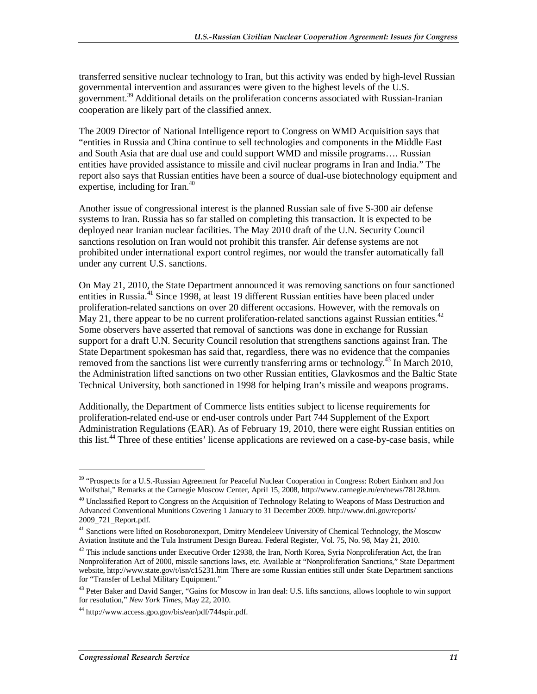transferred sensitive nuclear technology to Iran, but this activity was ended by high-level Russian governmental intervention and assurances were given to the highest levels of the U.S. government.<sup>39</sup> Additional details on the proliferation concerns associated with Russian-Iranian cooperation are likely part of the classified annex.

The 2009 Director of National Intelligence report to Congress on WMD Acquisition says that "entities in Russia and China continue to sell technologies and components in the Middle East and South Asia that are dual use and could support WMD and missile programs…. Russian entities have provided assistance to missile and civil nuclear programs in Iran and India." The report also says that Russian entities have been a source of dual-use biotechnology equipment and expertise, including for Iran. $40$ 

Another issue of congressional interest is the planned Russian sale of five S-300 air defense systems to Iran. Russia has so far stalled on completing this transaction. It is expected to be deployed near Iranian nuclear facilities. The May 2010 draft of the U.N. Security Council sanctions resolution on Iran would not prohibit this transfer. Air defense systems are not prohibited under international export control regimes, nor would the transfer automatically fall under any current U.S. sanctions.

On May 21, 2010, the State Department announced it was removing sanctions on four sanctioned entities in Russia.<sup>41</sup> Since 1998, at least 19 different Russian entities have been placed under proliferation-related sanctions on over 20 different occasions. However, with the removals on May 21, there appear to be no current proliferation-related sanctions against Russian entities.<sup>42</sup> Some observers have asserted that removal of sanctions was done in exchange for Russian support for a draft U.N. Security Council resolution that strengthens sanctions against Iran. The State Department spokesman has said that, regardless, there was no evidence that the companies removed from the sanctions list were currently transferring arms or technology.<sup>43</sup> In March 2010, the Administration lifted sanctions on two other Russian entities, Glavkosmos and the Baltic State Technical University, both sanctioned in 1998 for helping Iran's missile and weapons programs.

Additionally, the Department of Commerce lists entities subject to license requirements for proliferation-related end-use or end-user controls under Part 744 Supplement of the Export Administration Regulations (EAR). As of February 19, 2010, there were eight Russian entities on this list.<sup>44</sup> Three of these entities' license applications are reviewed on a case-by-case basis, while

**.** 

<sup>&</sup>lt;sup>39</sup> "Prospects for a U.S.-Russian Agreement for Peaceful Nuclear Cooperation in Congress: Robert Einhorn and Jon Wolfsthal," Remarks at the Carnegie Moscow Center, April 15, 2008, http://www.carnegie.ru/en/news/78128.htm.

<sup>&</sup>lt;sup>40</sup> Unclassified Report to Congress on the Acquisition of Technology Relating to Weapons of Mass Destruction and Advanced Conventional Munitions Covering 1 January to 31 December 2009. http://www.dni.gov/reports/ 2009\_721\_Report.pdf.

<sup>&</sup>lt;sup>41</sup> Sanctions were lifted on Rosoboronexport, Dmitry Mendeleev University of Chemical Technology, the Moscow Aviation Institute and the Tula Instrument Design Bureau. Federal Register, Vol. 75, No. 98, May 21, 2010.

 $^{42}$  This include sanctions under Executive Order 12938, the Iran, North Korea, Syria Nonproliferation Act, the Iran Nonproliferation Act of 2000, missile sanctions laws, etc. Available at "Nonproliferation Sanctions," State Department website, http://www.state.gov/t/isn/c15231.htm There are some Russian entities still under State Department sanctions for "Transfer of Lethal Military Equipment."

<sup>&</sup>lt;sup>43</sup> Peter Baker and David Sanger, "Gains for Moscow in Iran deal: U.S. lifts sanctions, allows loophole to win support for resolution," *New York Times*, May 22, 2010.

<sup>44</sup> http://www.access.gpo.gov/bis/ear/pdf/744spir.pdf.